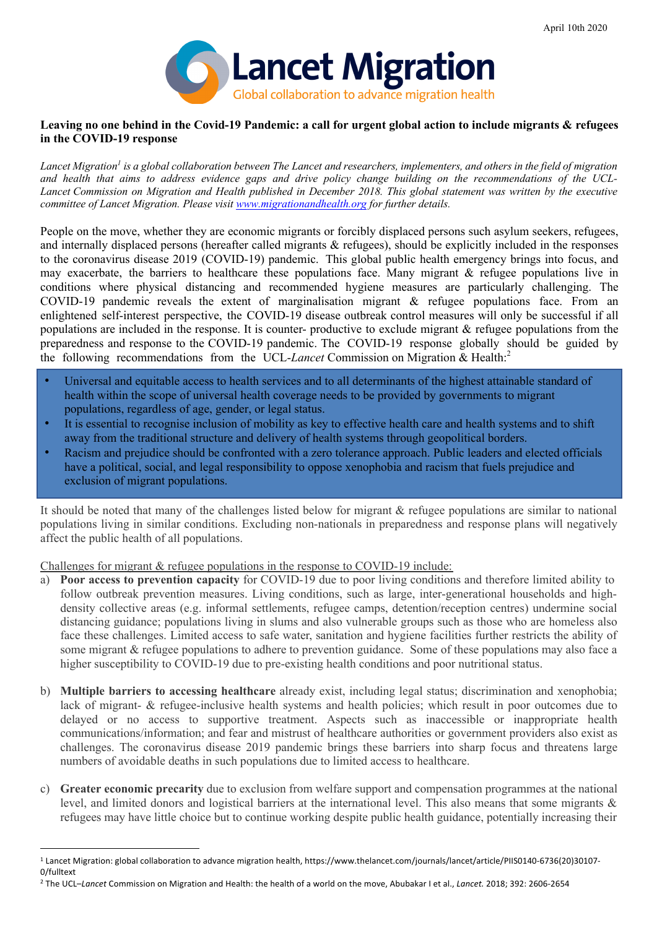

#### Leaving no one behind in the Covid-19 Pandemic: a call for urgent global action to include migrants & refugees **in the COVID-19 response**

*Lancet Migration1 is a global collaboration between The Lancet and researchers, implementers, and others in the field of migration and health that aims to address evidence gaps and drive policy change building on the recommendations of the UCL-Lancet Commission on Migration and Health published in December 2018. This global statement was written by the executive committee of Lancet Migration. Please visit www.migrationandhealth.org for further details.*

 People on the move, whether they are economic migrants or forcibly displaced persons such asylum seekers, refugees, and internally displaced persons (hereafter called migrants & refugees), should be explicitly included in the responses to the coronavirus disease 2019 (COVID-19) pandemic. This global public health emergency brings into focus, and may exacerbate, the barriers to healthcare these populations face. Many migrant & refugee populations live in conditions where physical distancing and recommended hygiene measures are particularly challenging. The COVID-19 pandemic reveals the extent of marginalisation migrant & refugee populations face. From an enlightened self-interest perspective, the COVID-19 disease outbreak control measures will only be successful if all populations are included in the response. It is counter- productive to exclude migrant  $\&$  refugee populations from the preparedness and response to the COVID-19 pandemic. The COVID-19 response globally should be guided by the following recommendations from the UCL-*Lancet* Commission on Migration & Health: 2

- Universal and equitable access to health services and to all determinants of the highest attainable standard of health within the scope of universal health coverage needs to be provided by governments to migrant populations, regardless of age, gender, or legal status.
- It is essential to recognise inclusion of mobility as key to effective health care and health systems and to shift away from the traditional structure and delivery of health systems through geopolitical borders.
- Racism and prejudice should be confronted with a zero tolerance approach. Public leaders and elected officials have a political, social, and legal responsibility to oppose xenophobia and racism that fuels prejudice and exclusion of migrant populations.

It should be noted that many of the challenges listed below for migrant & refugee populations are similar to national populations living in similar conditions. Excluding non-nationals in preparedness and response plans will negatively affect the public health of all populations.

Challenges for migrant & refugee populations in the response to COVID-19 include:

- a) **Poor access to prevention capacity** for COVID-19 due to poor living conditions and therefore limited ability to follow outbreak prevention measures. Living conditions, such as large, inter-generational households and high- density collective areas (e.g. informal settlements, refugee camps, detention/reception centres) undermine social distancing guidance; populations living in slums and also vulnerable groups such as those who are homeless also face these challenges. Limited access to safe water, sanitation and hygiene facilities further restricts the ability of some migrant & refugee populations to adhere to prevention guidance. Some of these populations may also face a higher susceptibility to COVID-19 due to pre-existing health conditions and poor nutritional status.
- b) **Multiple barriers to accessing healthcare** already exist, including legal status; discrimination and xenophobia; lack of migrant- & refugee-inclusive health systems and health policies; which result in poor outcomes due to delayed or no access to supportive treatment. Aspects such as inaccessible or inappropriate health communications/information; and fear and mistrust of healthcare authorities or government providers also exist as challenges. The coronavirus disease 2019 pandemic brings these barriers into sharp focus and threatens large numbers of avoidable deaths in such populations due to limited access to healthcare.
- c) **Greater economic precarity** due to exclusion from welfare support and compensation programmes at the national level, and limited donors and logistical barriers at the international level. This also means that some migrants & refugees may have little choice but to continue working despite public health guidance, potentially increasing their

<sup>1</sup> Lancet Migration: global collaboration to advance migration health, https://www.thelancet.com/journals/lancet/article/PIIS0140-6736(20)30107- 0/fulltext

<sup>2</sup> The UCL–*Lancet* Commission on Migration and Health: the health of a world on the move, Abubakar I et al., *Lancet.* 2018; 392: 2606-2654